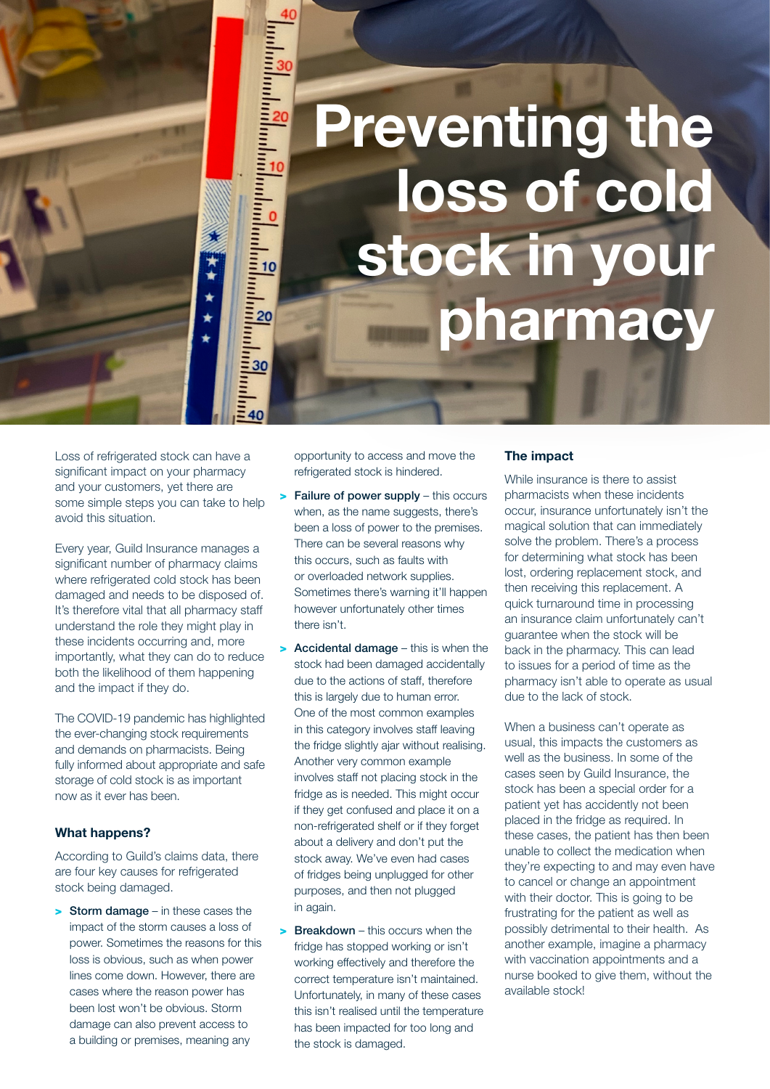# Preventing the loss of cold stock in your pharmacy

Loss of refrigerated stock can have a significant impact on your pharmacy and your customers, yet there are some simple steps you can take to help avoid this situation.

Every year, Guild Insurance manages a significant number of pharmacy claims where refrigerated cold stock has been damaged and needs to be disposed of. It's therefore vital that all pharmacy staff understand the role they might play in these incidents occurring and, more importantly, what they can do to reduce both the likelihood of them happening and the impact if they do.

The COVID-19 pandemic has highlighted the ever-changing stock requirements and demands on pharmacists. Being fully informed about appropriate and safe storage of cold stock is as important now as it ever has been.

#### What happens?

According to Guild's claims data, there are four key causes for refrigerated stock being damaged.

> Storm damage – in these cases the impact of the storm causes a loss of power. Sometimes the reasons for this loss is obvious, such as when power lines come down. However, there are cases where the reason power has been lost won't be obvious. Storm damage can also prevent access to a building or premises, meaning any

opportunity to access and move the refrigerated stock is hindered.

40

 $\star$  $\bigstar$ 

- > Failure of power supply this occurs when, as the name suggests, there's been a loss of power to the premises. There can be several reasons why this occurs, such as faults with or overloaded network supplies. Sometimes there's warning it'll happen however unfortunately other times there isn't.
- > Accidental damage this is when the stock had been damaged accidentally due to the actions of staff, therefore this is largely due to human error. One of the most common examples in this category involves staff leaving the fridge slightly ajar without realising. Another very common example involves staff not placing stock in the fridge as is needed. This might occur if they get confused and place it on a non-refrigerated shelf or if they forget about a delivery and don't put the stock away. We've even had cases of fridges being unplugged for other purposes, and then not plugged in again.
- **Breakdown** this occurs when the fridge has stopped working or isn't working effectively and therefore the correct temperature isn't maintained. Unfortunately, in many of these cases this isn't realised until the temperature has been impacted for too long and the stock is damaged.

#### The impact

While insurance is there to assist pharmacists when these incidents occur, insurance unfortunately isn't the magical solution that can immediately solve the problem. There's a process for determining what stock has been lost, ordering replacement stock, and then receiving this replacement. A quick turnaround time in processing an insurance claim unfortunately can't guarantee when the stock will be back in the pharmacy. This can lead to issues for a period of time as the pharmacy isn't able to operate as usual due to the lack of stock.

When a business can't operate as usual, this impacts the customers as well as the business. In some of the cases seen by Guild Insurance, the stock has been a special order for a patient yet has accidently not been placed in the fridge as required. In these cases, the patient has then been unable to collect the medication when they're expecting to and may even have to cancel or change an appointment with their doctor. This is going to be frustrating for the patient as well as possibly detrimental to their health. As another example, imagine a pharmacy with vaccination appointments and a nurse booked to give them, without the available stock!